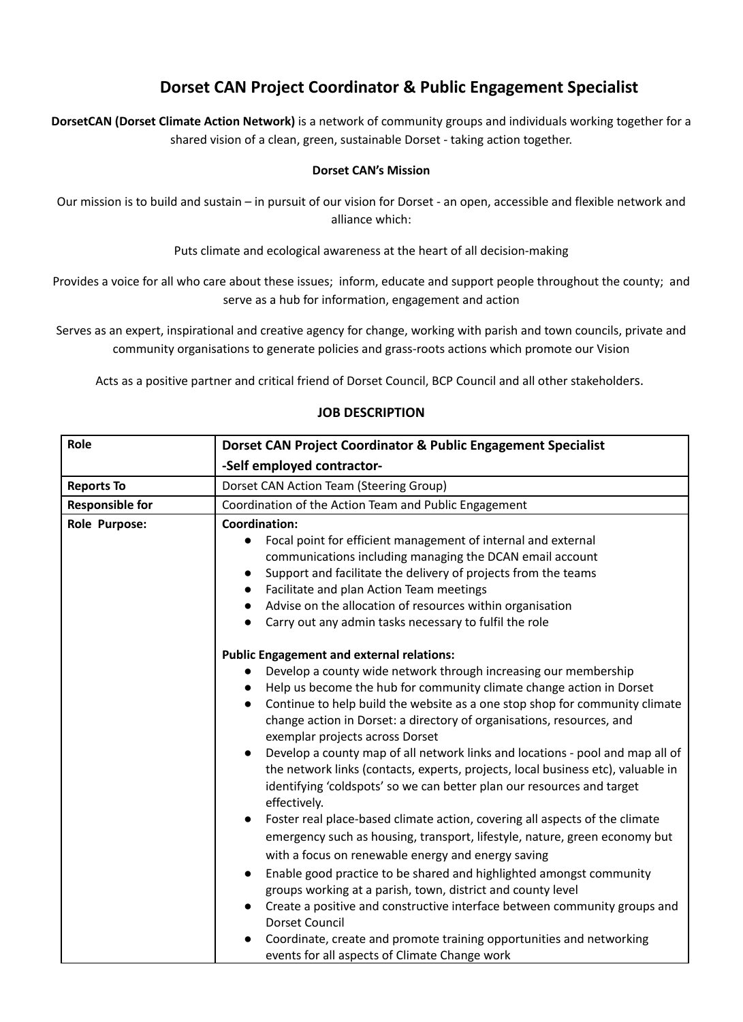# **Dorset CAN Project Coordinator & Public Engagement Specialist**

**DorsetCAN (Dorset Climate Action Network)** is a network of community groups and individuals working together for a shared vision of a clean, green, sustainable Dorset - taking action together.

### **Dorset CAN's Mission**

Our mission is to build and sustain – in pursuit of our vision for Dorset - an open, accessible and flexible network and alliance which:

Puts climate and ecological awareness at the heart of all decision-making

Provides a voice for all who care about these issues; inform, educate and support people throughout the county; and serve as a hub for information, engagement and action

Serves as an expert, inspirational and creative agency for change, working with parish and town councils, private and community organisations to generate policies and grass-roots actions which promote our Vision

Acts as a positive partner and critical friend of Dorset Council, BCP Council and all other stakeholders.

| Role                   | Dorset CAN Project Coordinator & Public Engagement Specialist                                                                                                                                                                                                                                                                                                                                                                                                                                                                                                                                                                                                                                                                                                                                                                                                                                                                                                                                                                                                                                                                                                                                                                                 |  |
|------------------------|-----------------------------------------------------------------------------------------------------------------------------------------------------------------------------------------------------------------------------------------------------------------------------------------------------------------------------------------------------------------------------------------------------------------------------------------------------------------------------------------------------------------------------------------------------------------------------------------------------------------------------------------------------------------------------------------------------------------------------------------------------------------------------------------------------------------------------------------------------------------------------------------------------------------------------------------------------------------------------------------------------------------------------------------------------------------------------------------------------------------------------------------------------------------------------------------------------------------------------------------------|--|
|                        | -Self employed contractor-                                                                                                                                                                                                                                                                                                                                                                                                                                                                                                                                                                                                                                                                                                                                                                                                                                                                                                                                                                                                                                                                                                                                                                                                                    |  |
| <b>Reports To</b>      | Dorset CAN Action Team (Steering Group)                                                                                                                                                                                                                                                                                                                                                                                                                                                                                                                                                                                                                                                                                                                                                                                                                                                                                                                                                                                                                                                                                                                                                                                                       |  |
| <b>Responsible for</b> | Coordination of the Action Team and Public Engagement                                                                                                                                                                                                                                                                                                                                                                                                                                                                                                                                                                                                                                                                                                                                                                                                                                                                                                                                                                                                                                                                                                                                                                                         |  |
| Role Purpose:          | <b>Coordination:</b><br>Focal point for efficient management of internal and external<br>communications including managing the DCAN email account<br>Support and facilitate the delivery of projects from the teams<br>Facilitate and plan Action Team meetings<br>Advise on the allocation of resources within organisation<br>Carry out any admin tasks necessary to fulfil the role                                                                                                                                                                                                                                                                                                                                                                                                                                                                                                                                                                                                                                                                                                                                                                                                                                                        |  |
|                        | <b>Public Engagement and external relations:</b><br>Develop a county wide network through increasing our membership<br>Help us become the hub for community climate change action in Dorset<br>Continue to help build the website as a one stop shop for community climate<br>change action in Dorset: a directory of organisations, resources, and<br>exemplar projects across Dorset<br>Develop a county map of all network links and locations - pool and map all of<br>the network links (contacts, experts, projects, local business etc), valuable in<br>identifying 'coldspots' so we can better plan our resources and target<br>effectively.<br>Foster real place-based climate action, covering all aspects of the climate<br>emergency such as housing, transport, lifestyle, nature, green economy but<br>with a focus on renewable energy and energy saving<br>Enable good practice to be shared and highlighted amongst community<br>groups working at a parish, town, district and county level<br>Create a positive and constructive interface between community groups and<br><b>Dorset Council</b><br>Coordinate, create and promote training opportunities and networking<br>events for all aspects of Climate Change work |  |

### **JOB DESCRIPTION**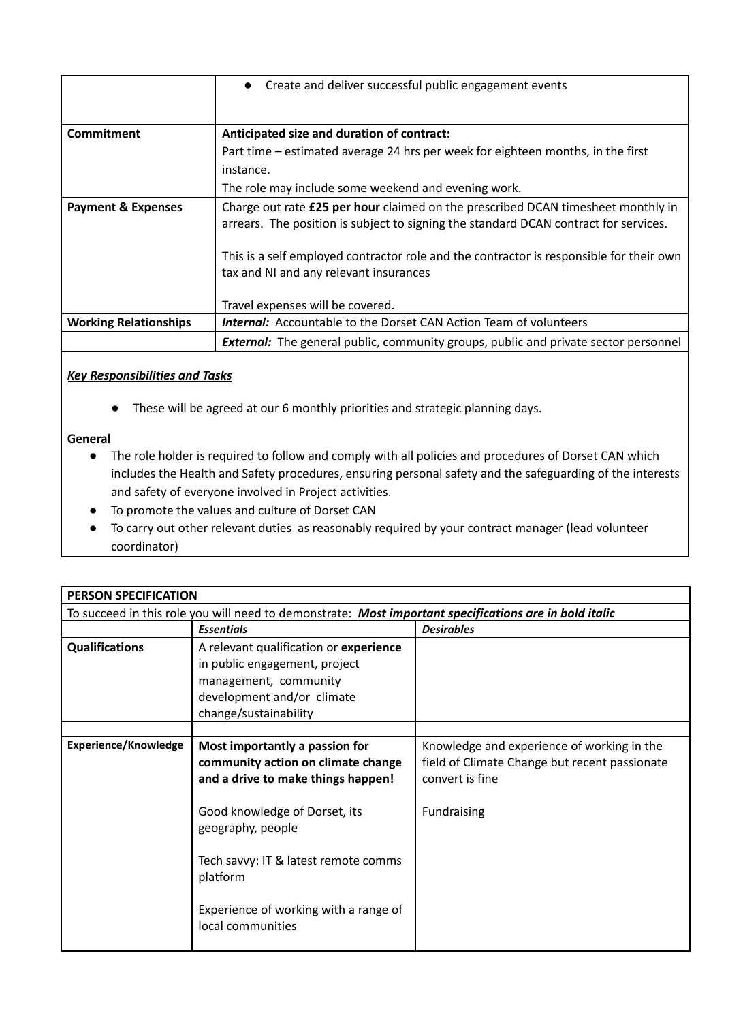|                               | Create and deliver successful public engagement events<br>$\bullet$                                                                                                      |
|-------------------------------|--------------------------------------------------------------------------------------------------------------------------------------------------------------------------|
| Commitment                    | Anticipated size and duration of contract:                                                                                                                               |
|                               | Part time – estimated average 24 hrs per week for eighteen months, in the first                                                                                          |
|                               | instance.                                                                                                                                                                |
|                               | The role may include some weekend and evening work.                                                                                                                      |
| <b>Payment &amp; Expenses</b> | Charge out rate £25 per hour claimed on the prescribed DCAN timesheet monthly in<br>arrears. The position is subject to signing the standard DCAN contract for services. |
|                               | This is a self employed contractor role and the contractor is responsible for their own<br>tax and NI and any relevant insurances                                        |
|                               | Travel expenses will be covered.                                                                                                                                         |
| <b>Working Relationships</b>  | <b>Internal:</b> Accountable to the Dorset CAN Action Team of volunteers                                                                                                 |
|                               | <b>External:</b> The general public, community groups, public and private sector personnel                                                                               |

# *Key Responsibilities and Tasks*

● These will be agreed at our 6 monthly priorities and strategic planning days.

# **General**

- The role holder is required to follow and comply with all policies and procedures of Dorset CAN which includes the Health and Safety procedures, ensuring personal safety and the safeguarding of the interests and safety of everyone involved in Project activities.
- To promote the values and culture of Dorset CAN
- To carry out other relevant duties as reasonably required by your contract manager (lead volunteer coordinator)

| <b>PERSON SPECIFICATION</b>                                                                            |                                                                                                                                                                  |                                                                                                                               |  |  |
|--------------------------------------------------------------------------------------------------------|------------------------------------------------------------------------------------------------------------------------------------------------------------------|-------------------------------------------------------------------------------------------------------------------------------|--|--|
| To succeed in this role you will need to demonstrate: Most important specifications are in bold italic |                                                                                                                                                                  |                                                                                                                               |  |  |
|                                                                                                        | <b>Essentials</b>                                                                                                                                                | <b>Desirables</b>                                                                                                             |  |  |
| <b>Qualifications</b>                                                                                  | A relevant qualification or experience<br>in public engagement, project<br>management, community<br>development and/or climate<br>change/sustainability          |                                                                                                                               |  |  |
|                                                                                                        |                                                                                                                                                                  |                                                                                                                               |  |  |
| Experience/Knowledge                                                                                   | Most importantly a passion for<br>community action on climate change<br>and a drive to make things happen!<br>Good knowledge of Dorset, its<br>geography, people | Knowledge and experience of working in the<br>field of Climate Change but recent passionate<br>convert is fine<br>Fundraising |  |  |
|                                                                                                        | Tech savvy: IT & latest remote comms<br>platform<br>Experience of working with a range of<br>local communities                                                   |                                                                                                                               |  |  |